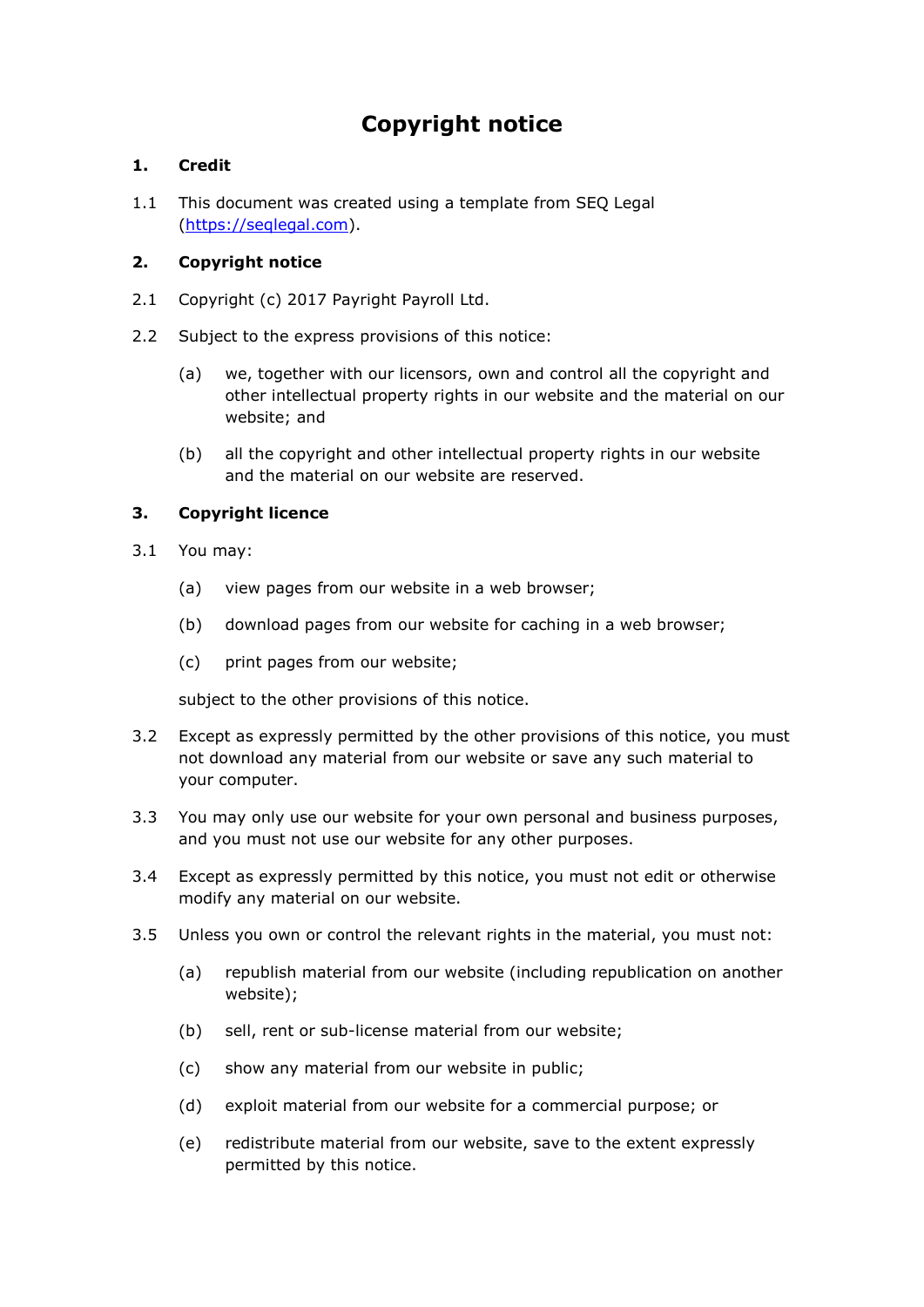# **Copyright notice**

# **1. Credit**

1.1 This document was created using a template from SEQ Legal [\(https://seqlegal.com\)](https://seqlegal.com/).

## **2. Copyright notice**

- 2.1 Copyright (c) 2017 Payright Payroll Ltd.
- 2.2 Subject to the express provisions of this notice:
	- (a) we, together with our licensors, own and control all the copyright and other intellectual property rights in our website and the material on our website; and
	- (b) all the copyright and other intellectual property rights in our website and the material on our website are reserved.

# **3. Copyright licence**

- 3.1 You may:
	- (a) view pages from our website in a web browser;
	- (b) download pages from our website for caching in a web browser;
	- (c) print pages from our website;

subject to the other provisions of this notice.

- 3.2 Except as expressly permitted by the other provisions of this notice, you must not download any material from our website or save any such material to your computer.
- 3.3 You may only use our website for your own personal and business purposes, and you must not use our website for any other purposes.
- 3.4 Except as expressly permitted by this notice, you must not edit or otherwise modify any material on our website.
- 3.5 Unless you own or control the relevant rights in the material, you must not:
	- (a) republish material from our website (including republication on another website);
	- (b) sell, rent or sub-license material from our website;
	- (c) show any material from our website in public;
	- (d) exploit material from our website for a commercial purpose; or
	- (e) redistribute material from our website, save to the extent expressly permitted by this notice.